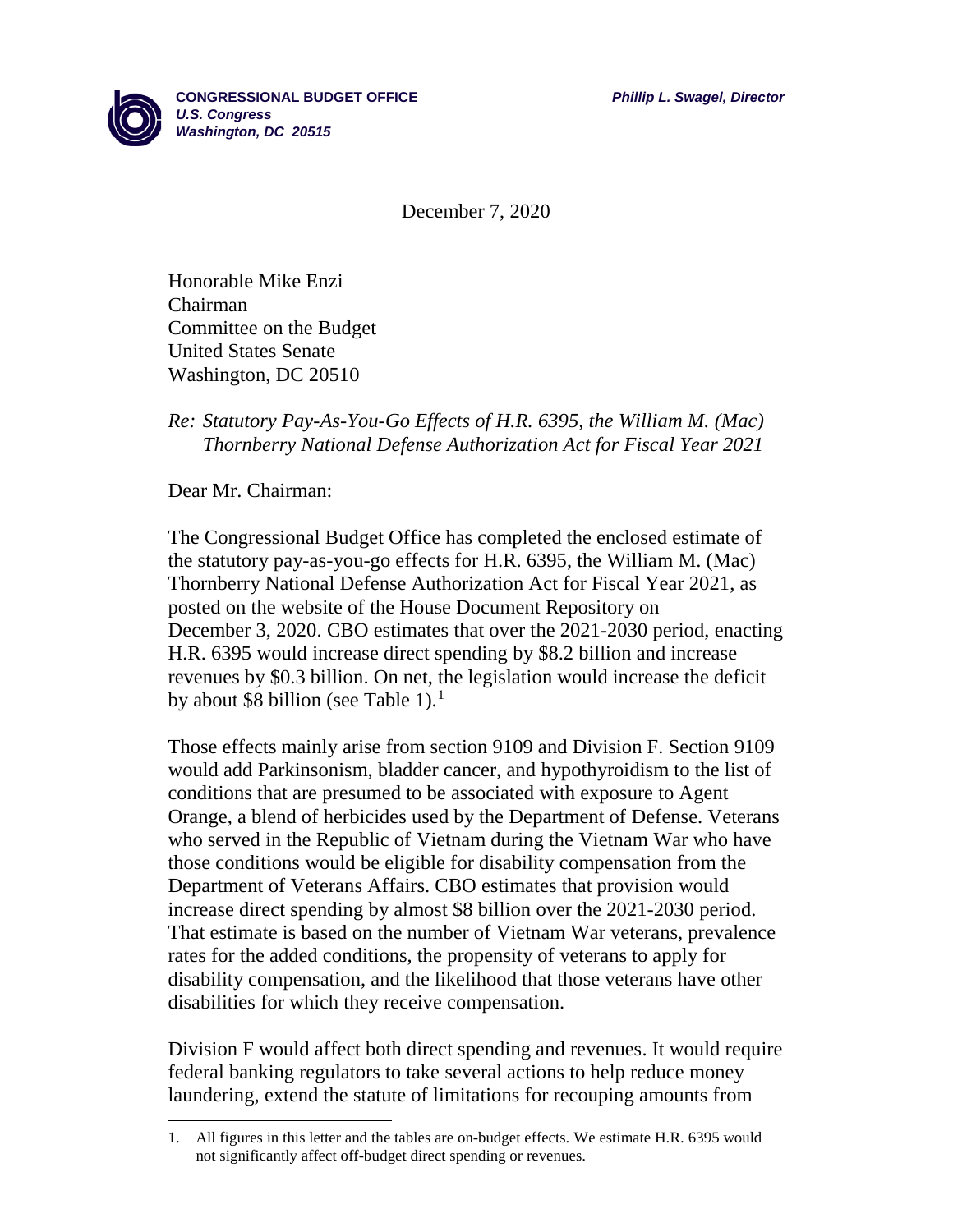

December 7, 2020

Honorable Mike Enzi Chairman Committee on the Budget United States Senate Washington, DC 20510

## *Re: Statutory Pay-As-You-Go Effects of H.R. 6395, the William M. (Mac) Thornberry National Defense Authorization Act for Fiscal Year 2021*

Dear Mr. Chairman:

l

The Congressional Budget Office has completed the enclosed estimate of the statutory pay-as-you-go effects for H.R. 6395, the William M. (Mac) Thornberry National Defense Authorization Act for Fiscal Year 2021, as posted on the website of the House Document Repository on December 3, 2020. CBO estimates that over the 2021-2030 period, enacting H.R. 6395 would increase direct spending by \$8.2 billion and increase revenues by \$0.3 billion. On net, the legislation would increase the deficit by about \$8 billion (see Table [1](#page-0-0)).<sup>1</sup>

Those effects mainly arise from section 9109 and Division F. Section 9109 would add Parkinsonism, bladder cancer, and hypothyroidism to the list of conditions that are presumed to be associated with exposure to Agent Orange, a blend of herbicides used by the Department of Defense. Veterans who served in the Republic of Vietnam during the Vietnam War who have those conditions would be eligible for disability compensation from the Department of Veterans Affairs. CBO estimates that provision would increase direct spending by almost \$8 billion over the 2021-2030 period. That estimate is based on the number of Vietnam War veterans, prevalence rates for the added conditions, the propensity of veterans to apply for disability compensation, and the likelihood that those veterans have other disabilities for which they receive compensation.

Division F would affect both direct spending and revenues. It would require federal banking regulators to take several actions to help reduce money laundering, extend the statute of limitations for recouping amounts from

<span id="page-0-0"></span><sup>1.</sup> All figures in this letter and the tables are on-budget effects. We estimate H.R. 6395 would not significantly affect off-budget direct spending or revenues.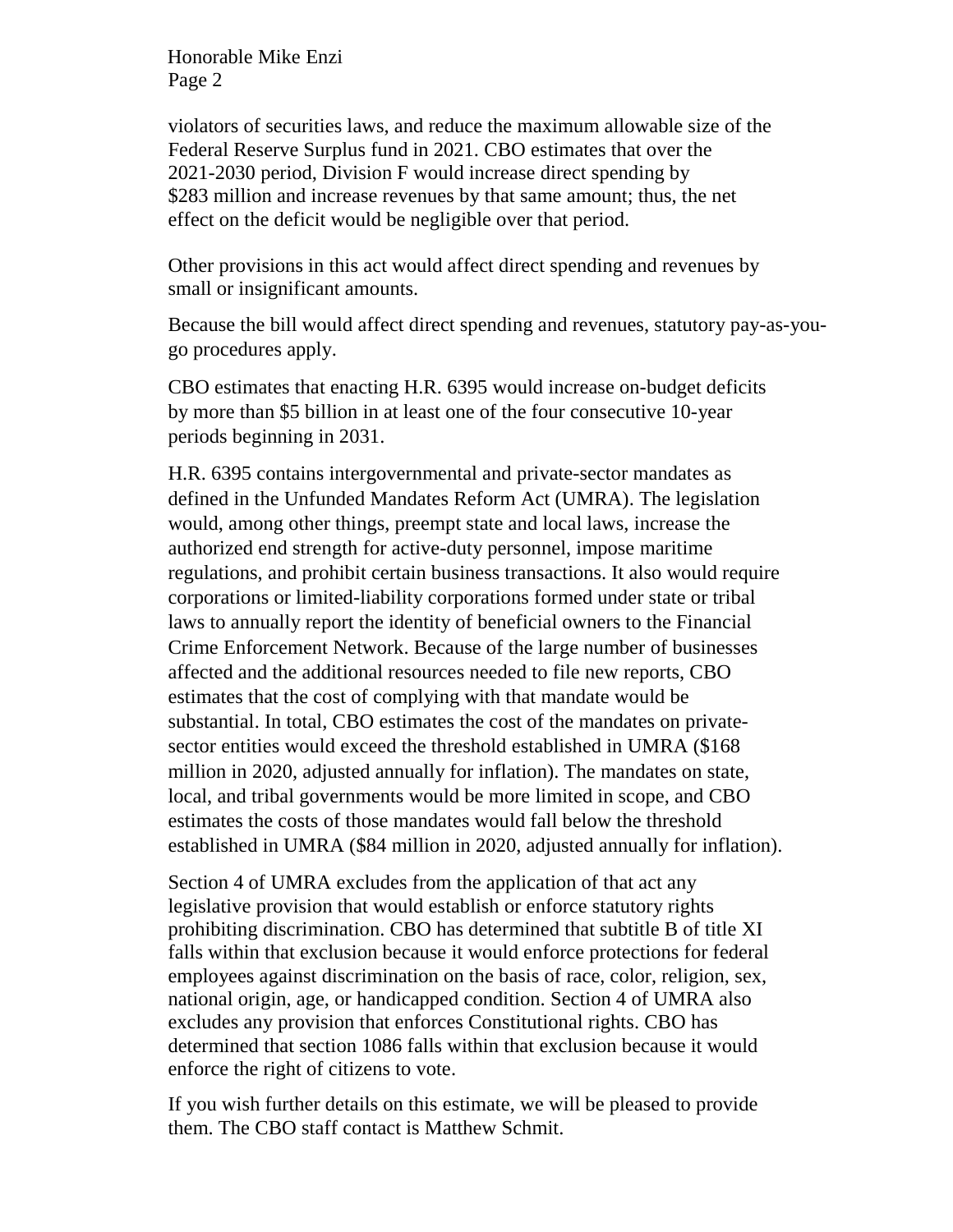Honorable Mike Enzi Page 2

violators of securities laws, and reduce the maximum allowable size of the Federal Reserve Surplus fund in 2021. CBO estimates that over the 2021-2030 period, Division F would increase direct spending by \$283 million and increase revenues by that same amount; thus, the net effect on the deficit would be negligible over that period.

Other provisions in this act would affect direct spending and revenues by small or insignificant amounts.

Because the bill would affect direct spending and revenues, statutory pay-as-yougo procedures apply.

CBO estimates that enacting H.R. 6395 would increase on-budget deficits by more than \$5 billion in at least one of the four consecutive 10-year periods beginning in 2031.

H.R. 6395 contains intergovernmental and private-sector mandates as defined in the Unfunded Mandates Reform Act (UMRA). The legislation would, among other things, preempt state and local laws, increase the authorized end strength for active-duty personnel, impose maritime regulations, and prohibit certain business transactions. It also would require corporations or limited-liability corporations formed under state or tribal laws to annually report the identity of beneficial owners to the Financial Crime Enforcement Network. Because of the large number of businesses affected and the additional resources needed to file new reports, CBO estimates that the cost of complying with that mandate would be substantial. In total, CBO estimates the cost of the mandates on privatesector entities would exceed the threshold established in UMRA (\$168 million in 2020, adjusted annually for inflation). The mandates on state, local, and tribal governments would be more limited in scope, and CBO estimates the costs of those mandates would fall below the threshold established in UMRA (\$84 million in 2020, adjusted annually for inflation).

Section 4 of UMRA excludes from the application of that act any legislative provision that would establish or enforce statutory rights prohibiting discrimination. CBO has determined that subtitle B of title XI falls within that exclusion because it would enforce protections for federal employees against discrimination on the basis of race, color, religion, sex, national origin, age, or handicapped condition. Section 4 of UMRA also excludes any provision that enforces Constitutional rights. CBO has determined that section 1086 falls within that exclusion because it would enforce the right of citizens to vote.

If you wish further details on this estimate, we will be pleased to provide them. The CBO staff contact is Matthew Schmit.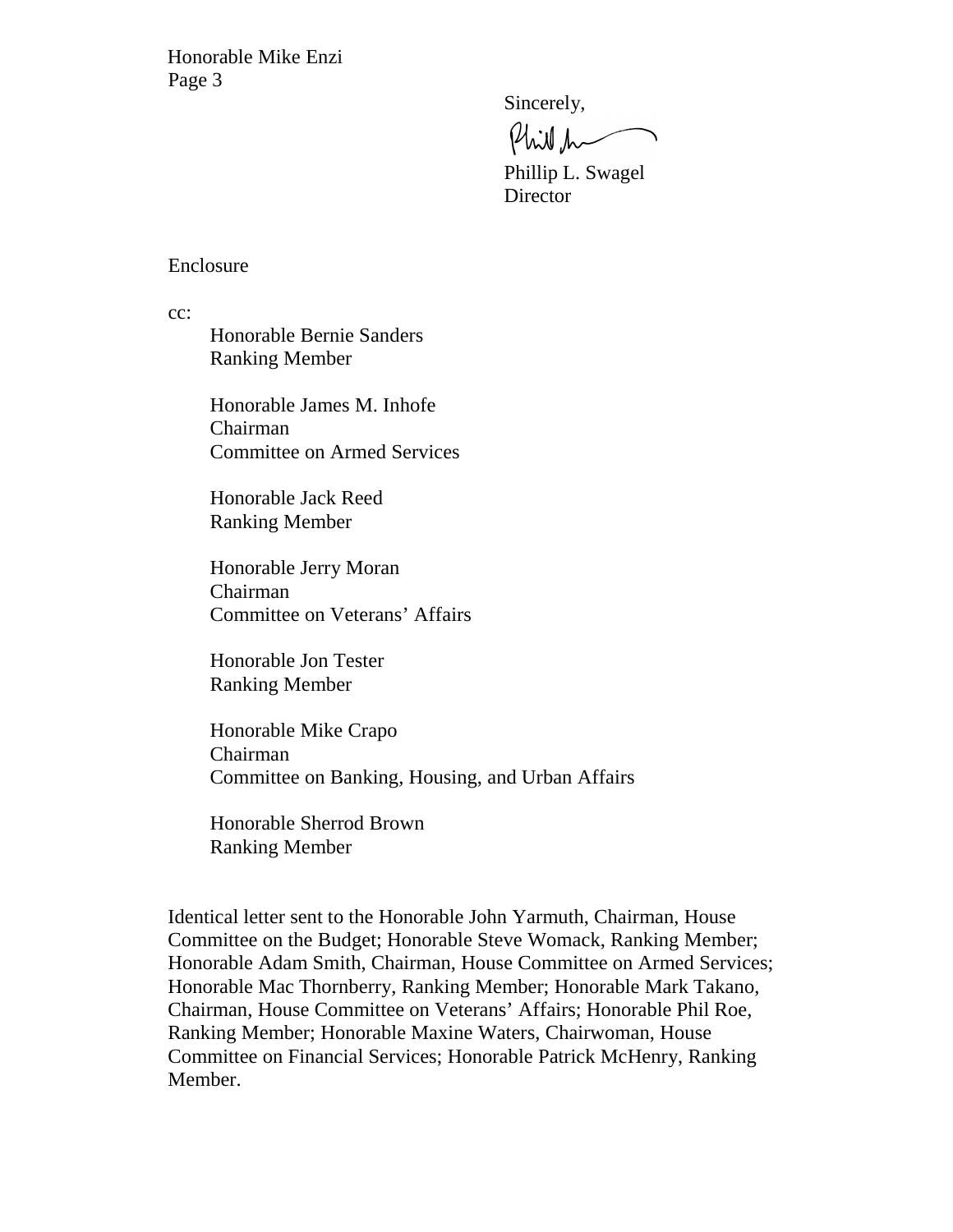Honorable Mike Enzi Page 3

Sincerely,

Philh

Phillip L. Swagel **Director** 

## Enclosure

cc:

Honorable Bernie Sanders Ranking Member

Honorable James M. Inhofe Chairman Committee on Armed Services

Honorable Jack Reed Ranking Member

Honorable Jerry Moran Chairman Committee on Veterans' Affairs

Honorable Jon Tester Ranking Member

Honorable Mike Crapo Chairman Committee on Banking, Housing, and Urban Affairs

Honorable Sherrod Brown Ranking Member

Identical letter sent to the Honorable John Yarmuth, Chairman, House Committee on the Budget; Honorable Steve Womack, Ranking Member; Honorable Adam Smith, Chairman, House Committee on Armed Services; Honorable Mac Thornberry, Ranking Member; Honorable Mark Takano, Chairman, House Committee on Veterans' Affairs; Honorable Phil Roe, Ranking Member; Honorable Maxine Waters, Chairwoman, House Committee on Financial Services; Honorable Patrick McHenry, Ranking Member.